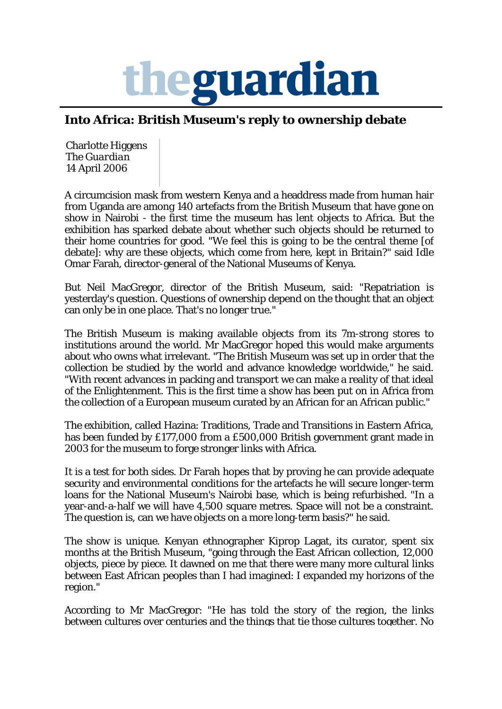

## **Into Africa: British Museum's reply to ownership debate**

Charlotte Higgens The *Guardian* 14 April 2006

A circumcision mask from western Kenya and a headdress made from human hair from Uganda are among 140 artefacts from the British Museum that have gone on show in Nairobi - the first time the museum has lent objects to Africa. But the exhibition has sparked debate about whether such objects should be returned to their home countries for good. "We feel this is going to be the central theme [of debate]: why are these objects, which come from here, kept in Britain?" said Idle Omar Farah, director-general of the National Museums of Kenya.

But Neil MacGregor, director of the British Museum, said: "Repatriation is yesterday's question. Questions of ownership depend on the thought that an object can only be in one place. That's no longer true."

The British Museum is making available objects from its 7m-strong stores to institutions around the world. Mr MacGregor hoped this would make arguments about who owns what irrelevant. "The British Museum was set up in order that the collection be studied by the world and advance knowledge worldwide," he said. "With recent advances in packing and transport we can make a reality of that ideal of the Enlightenment. This is the first time a show has been put on in Africa from the collection of a European museum curated by an African for an African public."

The exhibition, called Hazina: Traditions, Trade and Transitions in Eastern Africa, has been funded by £177,000 from a £500,000 British government grant made in 2003 for the museum to forge stronger links with Africa.

It is a test for both sides. Dr Farah hopes that by proving he can provide adequate security and environmental conditions for the artefacts he will secure longer-term loans for the National Museum's Nairobi base, which is being refurbished. "In a year-and-a-half we will have 4,500 square metres. Space will not be a constraint. The question is, can we have objects on a more long-term basis?" he said.

The show is unique. Kenyan ethnographer Kiprop Lagat, its curator, spent six months at the British Museum, "going through the East African collection, 12,000 objects, piece by piece. It dawned on me that there were many more cultural links between East African peoples than I had imagined: I expanded my horizons of the region."

According to Mr MacGregor: "He has told the story of the region, the links between cultures over centuries and the things that tie those cultures together. No